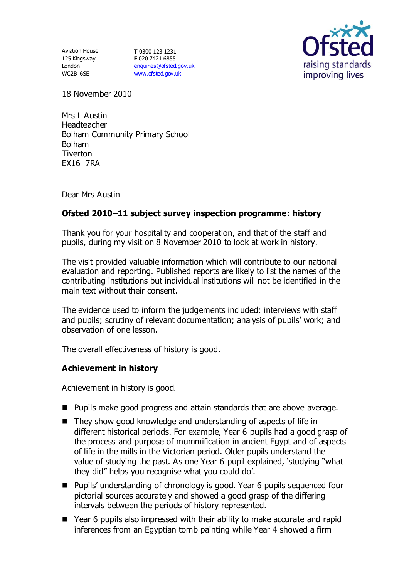125 Kingsway London WC2B 6SE

Aviation House **T** 0300 123 1231 **F** 020 7421 6855 [enquiries@ofsted.gov.uk](mailto:enquiries@ofsted.gov.uk) [www.ofsted.gov.uk](http://www.ofsted.gov.uk/)



18 November 2010

Mrs L Austin Headteacher Bolham Community Primary School Bolham **Tiverton** EX16 7RA

Dear Mrs Austin

## **Ofsted 2010 11 subject survey inspection programme: history**

Thank you for your hospitality and cooperation, and that of the staff and pupils, during my visit on 8 November 2010 to look at work in history.

The visit provided valuable information which will contribute to our national evaluation and reporting. Published reports are likely to list the names of the contributing institutions but individual institutions will not be identified in the main text without their consent.

The evidence used to inform the judgements included: interviews with staff and pupils; scrutiny of relevant documentation; analysis of pupils' work; and observation of one lesson.

The overall effectiveness of history is good.

## **Achievement in history**

Achievement in history is good.

- **Pupils make good progress and attain standards that are above average.**
- They show good knowledge and understanding of aspects of life in different historical periods. For example, Year 6 pupils had a good grasp of the process and purpose of mummification in ancient Egypt and of aspects of life in the mills in the Victorian period. Older pupils understand the value of studying the past. As one Year 6 pupil explained, 'studying ''what they did'' helps you recognise what you could do'.
- Pupils' understanding of chronology is good. Year 6 pupils sequenced four pictorial sources accurately and showed a good grasp of the differing intervals between the periods of history represented.
- Year 6 pupils also impressed with their ability to make accurate and rapid inferences from an Egyptian tomb painting while Year 4 showed a firm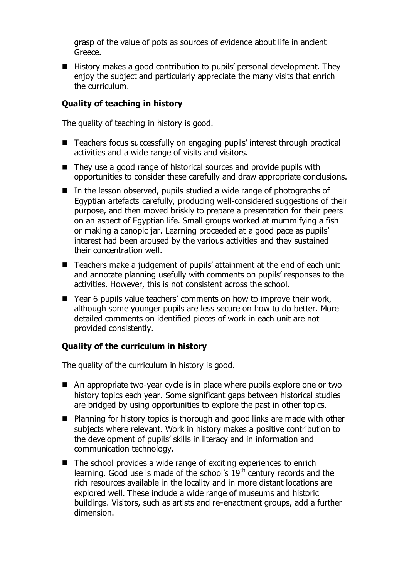grasp of the value of pots as sources of evidence about life in ancient Greece.

■ History makes a good contribution to pupils' personal development. They enjoy the subject and particularly appreciate the many visits that enrich the curriculum.

# **Quality of teaching in history**

The quality of teaching in history is good.

- Teachers focus successfully on engaging pupils' interest through practical activities and a wide range of visits and visitors.
- They use a good range of historical sources and provide pupils with opportunities to consider these carefully and draw appropriate conclusions.
- In the lesson observed, pupils studied a wide range of photographs of Egyptian artefacts carefully, producing well-considered suggestions of their purpose, and then moved briskly to prepare a presentation for their peers on an aspect of Egyptian life. Small groups worked at mummifying a fish or making a canopic jar. Learning proceeded at a good pace as pupils' interest had been aroused by the various activities and they sustained their concentration well.
- Teachers make a judgement of pupils' attainment at the end of each unit and annotate planning usefully with comments on pupils' responses to the activities. However, this is not consistent across the school.
- Year 6 pupils value teachers' comments on how to improve their work, although some younger pupils are less secure on how to do better. More detailed comments on identified pieces of work in each unit are not provided consistently.

## **Quality of the curriculum in history**

The quality of the curriculum in history is good.

- An appropriate two-year cycle is in place where pupils explore one or two history topics each year. Some significant gaps between historical studies are bridged by using opportunities to explore the past in other topics.
- Planning for history topics is thorough and good links are made with other subjects where relevant. Work in history makes a positive contribution to the development of pupils' skills in literacy and in information and communication technology.
- The school provides a wide range of exciting experiences to enrich learning. Good use is made of the school's 19<sup>th</sup> century records and the rich resources available in the locality and in more distant locations are explored well. These include a wide range of museums and historic buildings. Visitors, such as artists and re-enactment groups, add a further dimension.